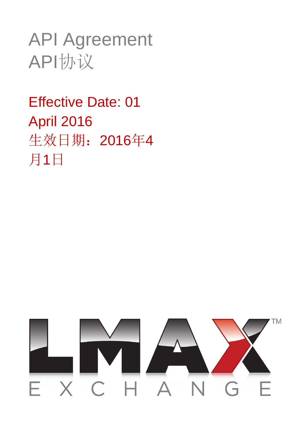# API Agreement API协议

Effective Date: 01 April 2016 生效日期:2016年4 月1日

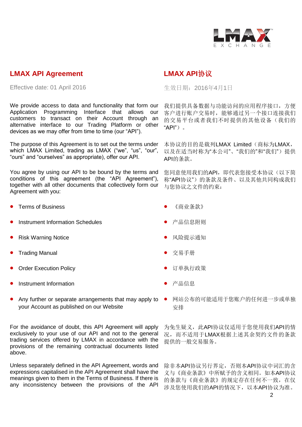

### LMAX API Agreement **LMAX API协议**

Effective date: 01 April 2016 2016 2018年4月1日

We provide access to data and functionality that form our Application Programming Interface that allows our customers to transact on their Account through an alternative interface to our Trading Platform or other devices as we may offer from time to time (our "API").

The purpose of this Agreement is to set out the terms under which LMAX Limited, trading as LMAX ("we", "us", "our", "ours" and "ourselves" as appropriate), offer our API.

You agree by using our API to be bound by the terms and conditions of this agreement (the "API Agreement"), together with all other documents that collectively form our Agreement with you:

- Terms of Business 《商业条款》
- Instrument Information Schedules ■ 产品信息附则
- Risk Warning Notice **Decision Contract Contract Contract Contract Contract Contract Contract Contract Contract Contract Contract Contract Contract Contract Contract Contract Contract Contract Contract Contract Contract C**
- Trading Manual 交易手册
- Order Execution Policy **Decay Transform Decay Transform Order Execution Policy** T
- Instrument Information **be a controlled a controlled a controlled a** 产品信息
- Any further or separate arrangements that may apply to  $\bullet$ your Account as published on our Website

For the avoidance of doubt, this API Agreement will apply exclusively to your use of our API and not to the general trading services offered by LMAX in accordance with the provisions of the remaining contractual documents listed above.

Unless separately defined in the API Agreement, words and expressions capitalised in the API Agreement shall have the meanings given to them in the Terms of Business. If there is any inconsistency between the provisions of the API

我们提供具备数据与功能访问的应用程序接口,方便 客户进行账户交易时,能够通过另一个接口连接我们 的交易平台或者我们不时提供的其他设备(我们的  $"API"$ )。

本协议的目的是载列LMAX Limited(商标为LMAX, 以及在适当时称为"本公司"、"我们的"和"我们")提供 API的条款。

您同意使用我们的API, 即代表您接受本协议(以下简 称"API协议")的条款及条件、以及其他共同构成我们 与您协议之文件的约束:

- 
- 
- 
- 
- 
- 
- 网站公布的可能适用于您账户的任何进一步或单独 安排

为免生疑义,此API协议仅适用于您使用我们API的情 况,而不适用于LMAX根据上述其余契约文件的条款 提供的一般交易服务。

除非本API协议另行界定,否则本API协议中词汇的含 义与《商业条款》中所赋予的含义相同。如本API协议 的条款与《商业条款》的规定存在任何不一致,在仅 涉及您使用我们的API的情况下,以本API协议为准。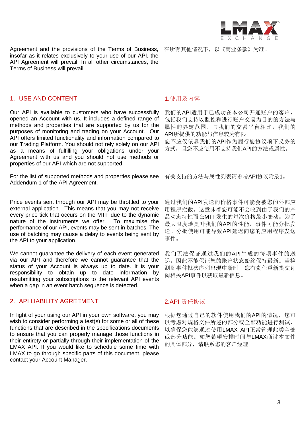

Agreement and the provisions of the Terms of Business, insofar as it relates exclusively to your use of our API, the API Agreement will prevail. In all other circumstances, the Terms of Business will prevail.

### 1. USE AND CONTENT **1.** the mass of the set of the set of the set of the set of the set of the set of the set of the set of the set of the set of the set of the set of the set of the set of the set of the set of the set o

Our API is available to customers who have successfully opened an Account with us. It includes a defined range of methods and properties that are supported by us for the purposes of monitoring and trading on your Account. Our API offers limited functionality and information compared to our Trading Platform. You should not rely solely on our API as a means of fulfilling your obligations under your Agreement with us and you should not use methods or properties of our API which are not supported.

For the list of supported methods and properties please see Addendum 1 of the API Agreement.

Price events sent through our API may be throttled to your external application. This means that you may not receive every price tick that occurs on the MTF due to the dynamic nature of the instruments we offer. To maximise the performance of our API, events may be sent in batches. The use of batching may cause a delay to events being sent by the API to your application.

We cannot guarantee the delivery of each event generated via our API and therefore we cannot guarantee that the status of your Account is always up to date. It is your responsibility to obtain up to date information by resubmitting your subscriptions to the relevant API events when a gap in an event batch sequence is detected.

### 2. API LIABILITY AGREEMENT 2.API 责任协议

In light of your using our API in your own software, you may wish to consider performing a test(s) for some or all of these functions that are described in the specifications documents to ensure that you can properly manage those functions in their entirety or partially through their implementation of the LMAX API. If you would like to schedule some time with LMAX to go through specific parts of this document, please contact your Account Manager.

在所有其他情况下,以《商业条款》为准。

我们的API适用于已成功在本公司开通账户的客户, 包括我们支持以监控和进行账户交易为目的的方法与 属性的界定范围。与我们的交易平台相比,我们的 API所提供的功能与信息较为有限。

您不应仅依靠我们的API作为履行您协议项下义务的 方式,且您不应使用不支持我们API的方法或属性。

有关支持的方法与属性列表请参考API协议附录1。

通过我们的API发送的价格事件可能会被您的外部应 用程序拦截。这意味着您可能不会收到由于我们的产 品动态特性而在MTF发生的每次价格最小变动。为了 最大限度地提升我们的API的性能,事件可能分批发 送。分批使用可能导致API延迟向您的应用程序发送 事件。

我们无法保证通过我们的API生成的每项事件的送 递,因此不能保证您的账户状态始终保持最新。当检 测到事件批次序列出现中断时,您有责任重新提交订 阅相关API事件以获取最新信息。

根据您通过自己的软件使用我们的API的情况,您可 以考虑对规格文件所述的部分或全部功能进行测试, 以确保您能够通过使用LMAX API正常管理此类全部 或部分功能。如您希望安排时间与LMAX商讨本文件 的具体部分,请联系您的客户经理。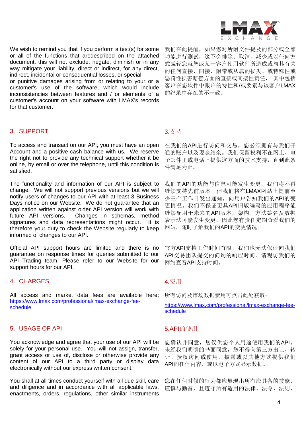

我们在此提醒,如果您对所附文件提及的部分或全部 功能进行测试,这不会排除、取消、减少或以任何方 式减轻您就您或某一客户使用软件所造成或与其有关 的任何直接、间接、附带或从属的损失、或特殊性或 惩罚性损害赔偿方面的直接或间接性责任, 其中包括 客户在您软件中账户的特性和/或要素与该客户LMAX 的纪录中存在的不一致。

We wish to remind you that if you perform a test(s) for some or all of the functions that aredescribed on the attached document, this will not exclude, negate, diminish or in any way mitigate your liability, direct or indirect, for any direct, indirect, incidental or consequential losses, or special or punitive damages arising from or relating to your or a customer's use of the software, which would include inconsistencies between features and / or elements of a customer's account on your software with LMAX's records

### 3. SUPPORT 3.支持

for that customer.

To access and transact on our API, you must have an open Account and a positive cash balance with us. We reserve the right not to provide any technical support whether it be online, by email or over the telephone, until this condition is satisfied.

The functionality and information of our API is subject to change. We will not support previous versions but we will notify users of changes to our API with at least 3 Business Days notice on our Website. We do not guarantee that an application written against older API version will work with future API versions. Changes in schemas, method signatures and data representations might occur. It is therefore your duty to check the Website regularly to keep informed of changes to our API.

Official API support hours are limited and there is no guarantee on response times for queries submitted to our API Trading team. Please refer to our Website for our support hours for our API.

### 4. CHARGES 4.费用

All access and market data fees are available here; [https://www.lmax.com/professional/lmax-exchange-fee](https://www.lmax.com/professional/lmax-exchange-fee-schedule)[schedule](https://www.lmax.com/professional/lmax-exchange-fee-schedule)

### 5. USAGE OF API 2000 2000 2000 2000 2000 2000 5.API的使用

You acknowledge and agree that your use of our API will be solely for your personal use. You will not assign, transfer, grant access or use of, disclose or otherwise provide any content of our API to a third party or display data electronically without our express written consent.

You shall at all times conduct yourself with all due skill, care and diligence and in accordance with all applicable laws. enactments, orders, regulations, other similar instruments

在我们的API进行访问和交易,您必须拥有与我们开 通的账户以及现金结余。我们保留权利不在网上、电 子邮件里或电话上提供这方面的技术支持,直到此条 件满足为止。

我们的API的功能与信息可能发生变更。我们将不再 继续支持先前版本,但我们将在LMAX网站上提前至 少三个工作日发出通知,向用户告知我们的API的变 更情况。我们不保证更具API旧版编写的应用程序能 继续配用于未来的API版本。架构、方法签名及数据 表示法可能发生变更。因此您有责任定期查看我们的 网站,随时了解我们的API的变更情况。

官方API支持工作时间有限,我们也无法保证向我们 API交易团队提交的问询的响应时间。请观访我们的 网站查看API支持时间。

所有访问及市场数据费用可点击此处获取:

[https://www.lmax.com/professional/lmax-exchange-fee](https://www.lmax.com/professional/lmax-exchange-fee-schedule)[schedule](https://www.lmax.com/professional/lmax-exchange-fee-schedule)

您确认并同意,您仅供您个人用途使用我们的API。 未经我们明确的书面同意,您不得向第三方出让、转 让、授权访问或使用、披露或以其他方式提供我们 API的任何内容, 或以电子方式显示数据。

您在任何时候的行为都应展现出所有应具备的技能、 谨慎与勤奋,且遵守所有适用的法律、法令、法则、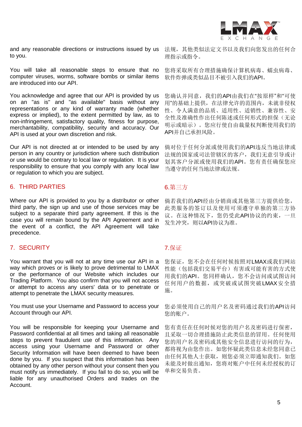

and any reasonable directions or instructions issued by us to you.

You will take all reasonable steps to ensure that no computer viruses, worms, software bombs or similar items are introduced into our API.

You acknowledge and agree that our API is provided by us on an "as is" and "as available" basis without any representations or any kind of warranty made (whether express or implied), to the extent permitted by law, as to non-infringement, satisfactory quality, fitness for purpose, merchantability, compatibility, security and accuracy. Our API is used at your own discretion and risk.

Our API is not directed at or intended to be used by any person in any country or jurisdiction where such distribution or use would be contrary to local law or regulation. It is your responsibility to ensure that you comply with any local law or regulation to which you are subject.

### **6. THIRD PARTIES 6. 高第三方**

Where our API is provided to you by a distributor or other third party, the sign up and use of those services may be subject to a separate third party agreement. If this is the case you will remain bound by the API Agreement and in the event of a conflict, the API Agreement will take precedence.

### 7. SECURITY 7.保证

You warrant that you will not at any time use our API in a way which proves or is likely to prove detrimental to LMAX or the performance of our Website which includes our Trading Platform. You also confirm that you will not access or attempt to access any users' data or to penetrate or attempt to penetrate the LMAX security measures.

You must use your Username and Password to access your Account through our API.

You will be responsible for keeping your Username and Password confidential at all times and taking all reasonable steps to prevent fraudulent use of this information. Any access using your Username and Password or other Security Information will have been deemed to have been done by you. If you suspect that this information has been obtained by any other person without your consent then you must notify us immediately. If you fail to do so, you will be liable for any unauthorised Orders and trades on the Account.

法规,其他类似法定文书以及我们向您发出的任何合 理指示或指令。

您将采取所有合理措施确保计算机病毒、蠕虫病毒、 软件炸弹或类似品目不被引入我们的API。

您确认并同意,我们的API由我们在"按原样"和"可使 用"的基础上提供,在法律允许的范围内,未就非侵权 性、令人满意的品质、适用性、适销性、兼容性、安 全性及准确性作出任何陈述或任何形式的担保(无论 明示或暗示)。您应行使自由裁量权判断使用我们的 API并自己承担风险。

倘对位于任何分派或使用我们的API违反当地法律或 法规的国家或司法管辖区的客户,我们无意引导或计 划其客户分派或使用我们的API。您有责任确保您应 当遵守的任何当地法律或法规。

倘若我们的API经由分销商或其他第三方提供给您, 此类服务的签订以及使用可须遵守单独的第三方协 议。在这种情况下,您仍受此API协议的约束,一旦 发生冲突,则以API协议为准。

您保证,您不会在任何时候按照对LMAX或我们网站 性能(包括我们交易平台)有害或可能有害的方式使 用我们的API。您同样确认,您不会访问或试图访问 任何用户的数据,或突破或试图突破LMAX安全措 施。

您必须使用自己的用户名及密码通过我们的API访问 您的账户。

您有责任在任何时候对您的用户名及密码进行保密, 且采取一切合理措施防止此类信息的冒用。任何使用 您的用户名及密码或其他安全信息进行访问的行为, 都将视为由您作出。如您怀疑此类信息未经您同意已 由任何其他人士获取,则您必须立即通知我们。如您 未能及时做出通知,您将对账户中任何未经授权的订 单和交易负责。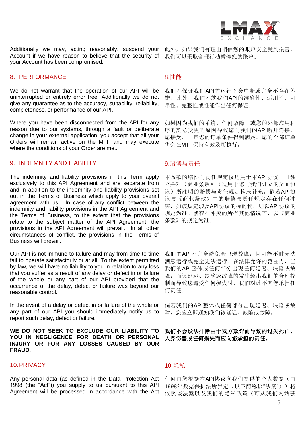

Additionally we may, acting reasonably, suspend your Account if we have reason to believe that the security of your Account has been compromised.

### 8. PERFORMANCE 8.性能

We do not warrant that the operation of our API will be uninterrupted or entirely error free. Additionally we do not give any guarantee as to the accuracy, suitability, reliability, completeness, or performance of our API.

Where you have been disconnected from the API for any reason due to our systems, through a fault or deliberate change in your external application, you accept that all your Orders will remain active on the MTF and may execute where the conditions of your Order are met.

### 9. INDEMNITY AND LIABILITY **Example 20. Set in the South And Solution** 9.赔偿与责任

The indemnity and liability provisions in this Term apply exclusively to this API Agreement and are separate from and in addition to the indemnity and liability provisions set out in the Terms of Business which apply to your overall agreement with us. In case of any conflict between the indemnity and liability provisions in the API Agreement and the Terms of Business, to the extent that the provisions relate to the subject matter of the API Agreement, the provisions in the API Agreement will prevail. In all other circumstances of conflict, the provisions in the Terms of Business will prevail.

Our API is not immune to failure and may from time to time fail to operate satisfactorily or at all. To the extent permitted by law, we will have no liability to you in relation to any loss that you suffer as a result of any delay or defect in or failure of the whole or any part of our API provided that the occurrence of the delay, defect or failure was beyond our reasonable control.

In the event of a delay or defect in or failure of the whole or any part of our API you should immediately notify us to report such delay, defect or failure.

**WE DO NOT SEEK TO EXCLUDE OUR LIABILITY TO YOU IN NEGLIGENCE FOR DEATH OR PERSONAL INJURY OR FOR ANY LOSSES CAUSED BY OUR FRAUD.**

### 10.PRIVACY 10.隐私

Any personal data (as defined in the Data Protection Act 1998 (the "Act")) you supply to us pursuant to this API Agreement will be processed in accordance with the Act

此外,如果我们有理由相信您的账户安全受到损害, 我们可以采取合理行动暂停您的账户。

我们不保证我们API的运行不会中断或完全不存在差 错。此外,我们不就我们API的准确性、适用性、可 靠性、完整性或性能作出任何保证。

如果因为我们的系统、任何故障、或您的外部应用程 序的刻意变更的原因导致您与我们的API断开连接, 您接受,一旦您的订单条件得到满足,您的全部订单 将会在MTF保持有效及可执行。

本条款的赔偿与责任规定仅适用于本API协议,且独 立并对《商业条款》(适用于您与我们订立的全面协 议)所注明的赔偿与责任规定构成补充。倘若API协 议与《商业条款》中的赔偿与责任规定存在任何冲 突,如该规定涉及API协议的标的物,则以API协议的 规定为准。就存在冲突的所有其他情况下,以《商业 条款》的规定为准。

我们的API不完全避免会出现故障,且可能不时无法 满意运行或完全无法运行。在法律允许的范围内,当 我们的API整体或任何部分出现任何延迟、缺陷或故 障,而该延迟、缺陷或故障的发生超出我们的合理控 制而导致您遭受任何损失时,我们对此不向您承担任 何责任。

倘若我们的API整体或任何部分出现延迟、缺陷或故 障,您应立即通知我们该延迟、缺陷或故障。

### 我们不会设法排除由于我方欺诈而导致的过失死亡、 人身伤害或任何损失而应向您承担的责任。

任何由您根据本API协议向我们提供的个人数据(由 1998年数据保护法所界定(以下简称该"法案"))将 依照该法案以及我们的隐私政策(可从我们网站获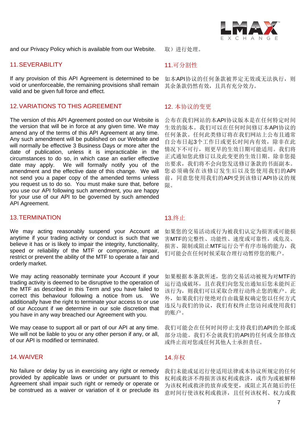

and our Privacy Policy which is available from our Website. 取)进行处理。

### 11. SEVERABILITY 2009 2009 2009 2009 2012 2020 2020 2021 2022 2023 2024 2022 2023 2024 2022 2023 202

If any provision of this API Agreement is determined to be void or unenforceable, the remaining provisions shall remain valid and be given full force and effect.

### 12. VARIATIONS TO THIS AGREEMENT **12. 本协议的变更**

The version of this API Agreement posted on our Website is the version that will be in force at any given time. We may amend any of the terms of this API Agreement at any time. Any such amendment will be published on our Website and will normally be effective 3 Business Days or more after the date of publication, unless it is impracticable in the circumstances to do so, in which case an earlier effective date may apply. We will formally notify you of the amendment and the effective date of this change. We will not send you a paper copy of the amended terms unless you request us to do so. You must make sure that, before you use our API following such amendment, you are happy for your use of our API to be governed by such amended API Agreement.

### 13.TERMINATION 13.终止

We may acting reasonably suspend your Account at anytime if your trading activity or conduct is such that we believe it has or is likely to impair the integrity, functionality, speed or reliability of the MTF or compromise, impair, restrict or prevent the ability of the MTF to operate a fair and orderly market.

We may acting reasonably terminate your Account if your trading activity is deemed to be disruptive to the operation of the MTF as described in this Term and you have failed to correct this behaviour following a notice from us. We additionally have the right to terminate your access to or use of our Account if we determine in our sole discretion that you have in any way breached our Agreement with you.

We may cease to support all or part of our API at any time. We will not be liable to you or any other person if any, or all, of our API is modified or terminated.

### 14.WAIVER 14.弃权

No failure or delay by us in exercising any right or remedy provided by applicable laws or under or pursuant to this Agreement shall impair such right or remedy or operate or be construed as a waiver or variation of it or preclude its

如本API协议的任何条款被界定无效或无法执行,则 其余条款仍然有效,且具有充分效力。

公布在我们网站的本API协议版本是在任何特定时间 生效的版本。我们可以在任何时间修订本API协议的 任何条款。任何此类修订将在我们网站上公布且通常 自公布日起3个工作日或更长时间内有效,除非在此 情况下不可行,则更早的生效日期可能适用。我们将 正式通知您此修订以及此变更的生效日期。除非您提 出要求,我们将不会向您发送修订条款的书面副本。 您必须确保在该修订发生后以及您使用我们的API 前,同意您使用我们的API受到该修订API协议的规 限。

如果您的交易活动或行为被我们认定为损害或可能损 害MTF的完整性、功能性、速度或可靠性,或危及、 损害、限制或阻止MTF运行公平有序市场的能力,我 们可能会在任何时候采取合理行动暂停您的账户。

如果根据本条款所述,您的交易活动被视为对MTF的 运行造成破坏,且在我们向您发出通知后您未能纠正 该行为,则我们可以采取合理行动终止您的账户。此 外,如果我们行使绝对自由裁量权确定您以任何方式 违反与我们的协议,我们有权终止您访问或使用我们 的账户。

我们可能会在任何时间停止支持我们的API的全部或 部分功能。我们不会就我们的API的任何或全部修改 或终止而对您或任何其他人士承担责任。

我们未能或延迟行使适用法律或本协议所规定的任何 权利或救济不得损害该权利或救济,或作为或被解释 为该权利或救济的放弃或变更,或阻止其在随后的任 意时间行使该权利或救济,且任何该权利、权力或救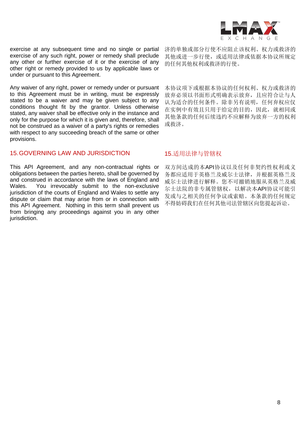

exercise at any subsequent time and no single or partial exercise of any such right, power or remedy shall preclude any other or further exercise of it or the exercise of any other right or remedy provided to us by applicable laws or under or pursuant to this Agreement.

Any waiver of any right, power or remedy under or pursuant to this Agreement must be in writing, must be expressly stated to be a waiver and may be given subject to any conditions thought fit by the grantor. Unless otherwise stated, any waiver shall be effective only in the instance and only for the purpose for which it is given and, therefore, shall not be construed as a waiver of a party's rights or remedies with respect to any succeeding breach of the same or other provisions.

### 15.GOVERNING LAW AND JURISDICTION **15.适用法律与管**辖权

This API Agreement, and any non-contractual rights or obligations between the parties hereto, shall be governed by and construed in accordance with the laws of England and Wales. You irrevocably submit to the non-exclusive jurisdiction of the courts of England and Wales to settle any dispute or claim that may arise from or in connection with this API Agreement. Nothing in this term shall prevent us from bringing any proceedings against you in any other jurisdiction.

济的单独或部分行使不应阻止该权利、权力或救济的 其他或进一步行使,或适用法律或依据本协议所规定 的任何其他权利或救济的行使。

本协议项下或根据本协议的任何权利、权力或救济的 放弃必须以书面形式明确表示放弃,且应符合让与人 认为适合的任何条件。除非另有说明,任何弃权应仅 在实例中有效且只用于给定的目的,因此,就相同或 其他条款的任何后续违约不应解释为放弃一方的权利 或救济。

双方间达成的本API协议以及任何非契约性权利或义 务都应适用于英格兰及威尔士法律,并根据英格兰及 威尔士法律进行解释。您不可撤销地服从英格兰及威 尔士法院的非专属管辖权,以解决本API协议可能引 发或与之相关的任何争议或索赔。本条款的任何规定 不得妨碍我们在任何其他司法管辖区向您提起诉讼。